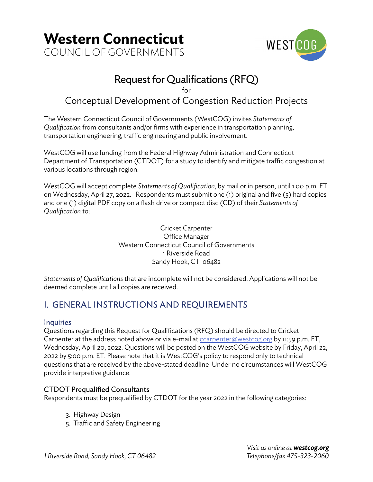



## Request for Qualifications (RFQ)

for

## Conceptual Development of Congestion Reduction Projects

The Western Connecticut Council of Governments (WestCOG) invites *Statements of Qualification* from consultants and/or firms with experience in transportation planning, transportation engineering, traffic engineering and public involvement.

WestCOG will use funding from the Federal Highway Administration and Connecticut Department of Transportation (CTDOT) for a study to identify and mitigate traffic congestion at various locations through region.

WestCOG will accept complete *Statements of Qualification*, by mail or in person, until 1:00 p.m. ET on Wednesday, April 27, 2022. Respondents must submit one (1) original and five (5) hard copies and one (1) digital PDF copy on a flash drive or compact disc (CD) of their *Statements of Qualification* to:

> Cricket Carpenter Office Manager Western Connecticut Council of Governments 1 Riverside Road Sandy Hook, CT 06482

*Statements of Qualifications* that are incomplete will not be considered. Applications will not be deemed complete until all copies are received.

## I. GENERAL INSTRUCTIONS AND REQUIREMENTS

## **Inquiries**

Questions regarding this Request for Qualifications (RFQ) should be directed to Cricket Carpenter at the address noted above or via e-mail at ccarpenter@westcog.org by 11:59 p.m. ET, Wednesday, April 20, 2022. Questions will be posted on the WestCOG website by Friday, April 22, 2022 by 5:00 p.m. ET. Please note that it is WestCOG's policy to respond only to technical questions that are received by the above-stated deadline Under no circumstances will WestCOG provide interpretive guidance.

## CTDOT Prequalified Consultants

Respondents must be prequalified by CTDOT for the year 2022 in the following categories:

- 3. Highway Design
- 5. Traffic and Safety Engineering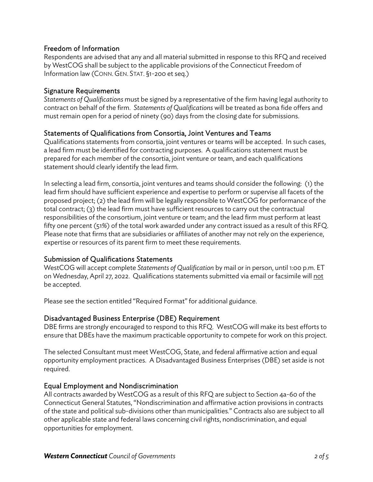## Freedom of Information

Respondents are advised that any and all material submitted in response to this RFQ and received by WestCOG shall be subject to the applicable provisions of the Connecticut Freedom of Information law (CONN. GEN. STAT. §1-200 et seq.)

### Signature Requirements

*Statements of Qualifications* must be signed by a representative of the firm having legal authority to contract on behalf of the firm. *Statements of Qualifications* will be treated as bona fide offers and must remain open for a period of ninety (90) days from the closing date for submissions.

## Statements of Qualifications from Consortia, Joint Ventures and Teams

Qualifications statements from consortia, joint ventures or teams will be accepted. In such cases, a lead firm must be identified for contracting purposes. A qualifications statement must be prepared for each member of the consortia, joint venture or team, and each qualifications statement should clearly identify the lead firm.

In selecting a lead firm, consortia, joint ventures and teams should consider the following: (1) the lead firm should have sufficient experience and expertise to perform or supervise all facets of the proposed project; (2) the lead firm will be legally responsible to WestCOG for performance of the total contract; (3) the lead firm must have sufficient resources to carry out the contractual responsibilities of the consortium, joint venture or team; and the lead firm must perform at least fifty one percent (51%) of the total work awarded under any contract issued as a result of this RFQ. Please note that firms that are subsidiaries or affiliates of another may not rely on the experience, expertise or resources of its parent firm to meet these requirements.

### Submission of Qualifications Statements

WestCOG will accept complete *Statements of Qualification* by mail or in person, until 1:00 p.m. ET on Wednesday, April 27, 2022. Qualifications statements submitted via email or facsimile will not be accepted.

Please see the section entitled "Required Format" for additional guidance.

## Disadvantaged Business Enterprise (DBE) Requirement

DBE firms are strongly encouraged to respond to this RFQ. WestCOG will make its best efforts to ensure that DBEs have the maximum practicable opportunity to compete for work on this project.

The selected Consultant must meet WestCOG, State, and federal affirmative action and equal opportunity employment practices. A Disadvantaged Business Enterprises (DBE) set aside is not required.

## Equal Employment and Nondiscrimination

All contracts awarded by WestCOG as a result of this RFQ are subject to Section 4a-60 of the Connecticut General Statutes, "Nondiscrimination and affirmative action provisions in contracts of the state and political sub-divisions other than municipalities." Contracts also are subject to all other applicable state and federal laws concerning civil rights, nondiscrimination, and equal opportunities for employment.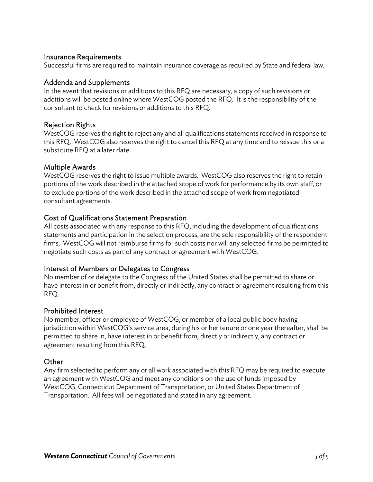#### Insurance Requirements

Successful firms are required to maintain insurance coverage as required by State and federal law.

#### Addenda and Supplements

In the event that revisions or additions to this RFQ are necessary, a copy of such revisions or additions will be posted online where WestCOG posted the RFQ. It is the responsibility of the consultant to check for revisions or additions to this RFQ.

#### Rejection Rights

WestCOG reserves the right to reject any and all qualifications statements received in response to this RFQ. WestCOG also reserves the right to cancel this RFQ at any time and to reissue this or a substitute RFQ at a later date.

#### Multiple Awards

WestCOG reserves the right to issue multiple awards. WestCOG also reserves the right to retain portions of the work described in the attached scope of work for performance by its own staff, or to exclude portions of the work described in the attached scope of work from negotiated consultant agreements.

#### Cost of Qualifications Statement Preparation

All costs associated with any response to this RFQ, including the development of qualifications statements and participation in the selection process, are the sole responsibility of the respondent firms. WestCOG will not reimburse firms for such costs nor will any selected firms be permitted to negotiate such costs as part of any contract or agreement with WestCOG.

#### Interest of Members or Delegates to Congress

No member of or delegate to the Congress of the United States shall be permitted to share or have interest in or benefit from, directly or indirectly, any contract or agreement resulting from this RFQ.

#### Prohibited Interest

No member, officer or employee of WestCOG, or member of a local public body having jurisdiction within WestCOG's service area, during his or her tenure or one year thereafter, shall be permitted to share in, have interest in or benefit from, directly or indirectly, any contract or agreement resulting from this RFQ.

#### **Other**

Any firm selected to perform any or all work associated with this RFQ may be required to execute an agreement with WestCOG and meet any conditions on the use of funds imposed by WestCOG, Connecticut Department of Transportation, or United States Department of Transportation. All fees will be negotiated and stated in any agreement.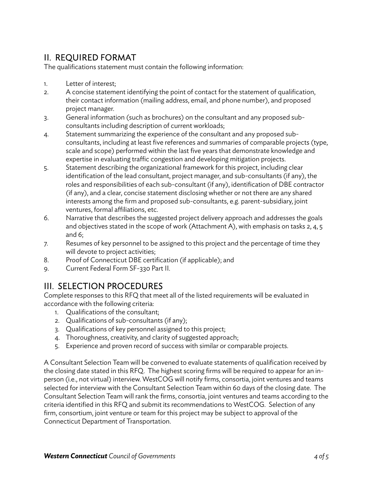## II. REQUIRED FORMAT

The qualifications statement must contain the following information:

- 1. Letter of interest;
- 2. A concise statement identifying the point of contact for the statement of qualification, their contact information (mailing address, email, and phone number), and proposed project manager.
- 3. General information (such as brochures) on the consultant and any proposed subconsultants including description of current workloads;
- 4. Statement summarizing the experience of the consultant and any proposed subconsultants, including at least five references and summaries of comparable projects (type, scale and scope) performed within the last five years that demonstrate knowledge and expertise in evaluating traffic congestion and developing mitigation projects.
- 5. Statement describing the organizational framework for this project, including clear identification of the lead consultant, project manager, and sub-consultants (if any), the roles and responsibilities of each sub-consultant (if any), identification of DBE contractor (if any), and a clear, concise statement disclosing whether or not there are any shared interests among the firm and proposed sub-consultants, e.g. parent-subsidiary, joint ventures, formal affiliations, etc.
- 6. Narrative that describes the suggested project delivery approach and addresses the goals and objectives stated in the scope of work (Attachment A), with emphasis on tasks 2, 4, 5 and 6;
- 7. Resumes of key personnel to be assigned to this project and the percentage of time they will devote to project activities;
- 8. Proof of Connecticut DBE certification (if applicable); and
- 9. Current Federal Form SF-330 Part II.

## III. SELECTION PROCEDURES

Complete responses to this RFQ that meet all of the listed requirements will be evaluated in accordance with the following criteria:

- 1. Qualifications of the consultant;
- 2. Qualifications of sub-consultants (if any);
- 3. Qualifications of key personnel assigned to this project;
- 4. Thoroughness, creativity, and clarity of suggested approach;
- 5. Experience and proven record of success with similar or comparable projects.

A Consultant Selection Team will be convened to evaluate statements of qualification received by the closing date stated in this RFQ. The highest scoring firms will be required to appear for an inperson (i.e., not virtual) interview. WestCOG will notify firms, consortia, joint ventures and teams selected for interview with the Consultant Selection Team within 60 days of the closing date. The Consultant Selection Team will rank the firms, consortia, joint ventures and teams according to the criteria identified in this RFQ and submit its recommendations to WestCOG. Selection of any firm, consortium, joint venture or team for this project may be subject to approval of the Connecticut Department of Transportation.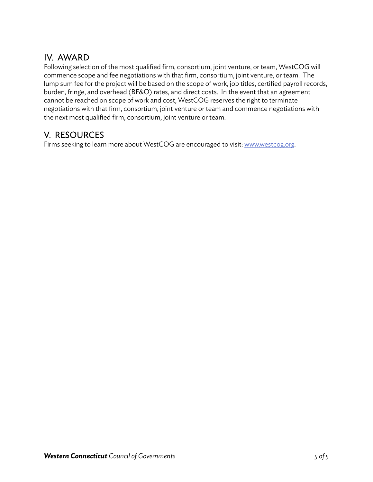## IV. AWARD

Following selection of the most qualified firm, consortium, joint venture, or team, WestCOG will commence scope and fee negotiations with that firm, consortium, joint venture, or team. The lump sum fee for the project will be based on the scope of work, job titles, certified payroll records, burden, fringe, and overhead (BF&O) rates, and direct costs. In the event that an agreement cannot be reached on scope of work and cost, WestCOG reserves the right to terminate negotiations with that firm, consortium, joint venture or team and commence negotiations with the next most qualified firm, consortium, joint venture or team.

## V. RESOURCES

Firms seeking to learn more about WestCOG are encouraged to visit: www.westcog.org.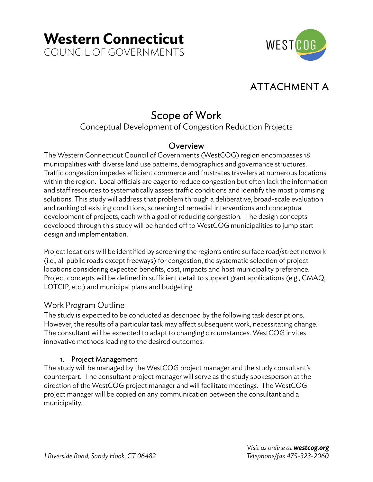**Western Connecticut** COUNCIL OF GOVERNMENTS



## ATTACHMENT A

# Scope of Work<br>Conceptual Development of Congestion Reduction Projects

## **Overview**

The Western Connecticut Council of Governments (WestCOG) region encompasses 18 municipalities with diverse land use patterns, demographics and governance structures. Traffic congestion impedes efficient commerce and frustrates travelers at numerous locations within the region. Local officials are eager to reduce congestion but often lack the information and staff resources to systematically assess traffic conditions and identify the most promising solutions. This study will address that problem through a deliberative, broad-scale evaluation and ranking of existing conditions, screening of remedial interventions and conceptual development of projects, each with a goal of reducing congestion. The design concepts developed through this study will be handed off to WestCOG municipalities to jump start design and implementation.

Project locations will be identified by screening the region's entire surface road/street network (i.e., all public roads except freeways) for congestion, the systematic selection of project locations considering expected benefits, cost, impacts and host municipality preference. Project concepts will be defined in sufficient detail to support grant applications (e.g., CMAQ, LOTCIP, etc.) and municipal plans and budgeting.

## Work Program Outline

The study is expected to be conducted as described by the following task descriptions. However, the results of a particular task may affect subsequent work, necessitating change. The consultant will be expected to adapt to changing circumstances. WestCOG invites innovative methods leading to the desired outcomes.

## 1. Project Management

The study will be managed by the WestCOG project manager and the study consultant's counterpart. The consultant project manager will serve as the study spokesperson at the direction of the WestCOG project manager and will facilitate meetings. The WestCOG project manager will be copied on any communication between the consultant and a municipality.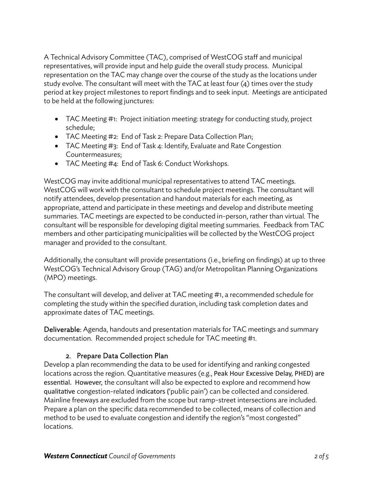A Technical Advisory Committee (TAC), comprised of WestCOG staff and municipal representatives, will provide input and help guide the overall study process. Municipal representation on the TAC may change over the course of the study as the locations under study evolve. The consultant will meet with the TAC at least four (4) times over the study period at key project milestones to report findings and to seek input. Meetings are anticipated to be held at the following junctures:

- TAC Meeting #1: Project initiation meeting: strategy for conducting study, project schedule;
- TAC Meeting #2: End of Task 2: Prepare Data Collection Plan;
- TAC Meeting #3: End of Task 4: Identify, Evaluate and Rate Congestion Countermeasures;
- TAC Meeting #4: End of Task 6: Conduct Workshops.

WestCOG may invite additional municipal representatives to attend TAC meetings. WestCOG will work with the consultant to schedule project meetings. The consultant will notify attendees, develop presentation and handout materials for each meeting, as appropriate, attend and participate in these meetings and develop and distribute meeting summaries. TAC meetings are expected to be conducted in-person, rather than virtual. The consultant will be responsible for developing digital meeting summaries. Feedback from TAC members and other participating municipalities will be collected by the WestCOG project manager and provided to the consultant.

Additionally, the consultant will provide presentations (i.e., briefing on findings) at up to three WestCOG's Technical Advisory Group (TAG) and/or Metropolitan Planning Organizations (MPO) meetings.

The consultant will develop, and deliver at TAC meeting #1, a recommended schedule for completing the study within the specified duration, including task completion dates and approximate dates of TAC meetings.

Deliverable: Agenda, handouts and presentation materials for TAC meetings and summary documentation. Recommended project schedule for TAC meeting #1.

## 2. Prepare Data Collection Plan

Develop a plan recommending the data to be used for identifying and ranking congested locations across the region. Quantitative measures (e.g., Peak Hour Excessive Delay, PHED) are essential. However, the consultant will also be expected to explore and recommend how qualitative congestion-related indicators ('public pain') can be collected and considered. Mainline freeways are excluded from the scope but ramp-street intersections are included. Prepare a plan on the specific data recommended to be collected, means of collection and method to be used to evaluate congestion and identify the region's "most congested" locations.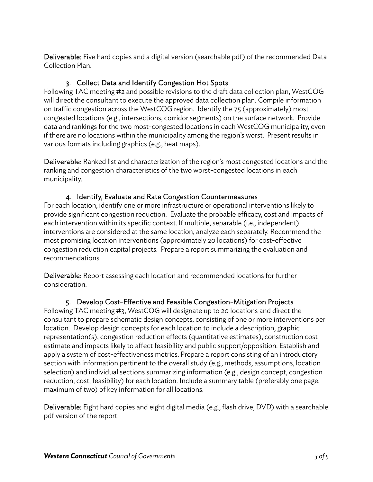Deliverable: Five hard copies and a digital version (searchable pdf) of the recommended Data Collection Plan.

## 3. Collect Data and Identify Congestion Hot Spots

Following TAC meeting #2 and possible revisions to the draft data collection plan, WestCOG will direct the consultant to execute the approved data collection plan. Compile information on traffic congestion across the WestCOG region. Identify the 75 (approximately) most congested locations (e.g., intersections, corridor segments) on the surface network. Provide data and rankings for the two most-congested locations in each WestCOG municipality, even if there are no locations within the municipality among the region's worst. Present results in various formats including graphics (e.g., heat maps).

Deliverable: Ranked list and characterization of the region's most congested locations and the ranking and congestion characteristics of the two worst-congested locations in each municipality.

## 4. Identify, Evaluate and Rate Congestion Countermeasures

For each location, identify one or more infrastructure or operational interventions likely to provide significant congestion reduction. Evaluate the probable efficacy, cost and impacts of each intervention within its specific context. If multiple, separable (i.e., independent) interventions are considered at the same location, analyze each separately. Recommend the most promising location interventions (approximately 20 locations) for cost-effective congestion reduction capital projects. Prepare a report summarizing the evaluation and recommendations.

Deliverable: Report assessing each location and recommended locations for further consideration.

## 5. Develop Cost-Effective and Feasible Congestion-Mitigation Projects

Following TAC meeting #3, WestCOG will designate up to 20 locations and direct the consultant to prepare schematic design concepts, consisting of one or more interventions per location. Develop design concepts for each location to include a description, graphic representation(s), congestion reduction effects (quantitative estimates), construction cost estimate and impacts likely to affect feasibility and public support/opposition. Establish and apply a system of cost-effectiveness metrics. Prepare a report consisting of an introductory section with information pertinent to the overall study (e.g., methods, assumptions, location selection) and individual sections summarizing information (e.g., design concept, congestion reduction, cost, feasibility) for each location. Include a summary table (preferably one page, maximum of two) of key information for all locations.

Deliverable: Eight hard copies and eight digital media (e.g., flash drive, DVD) with a searchable pdf version of the report.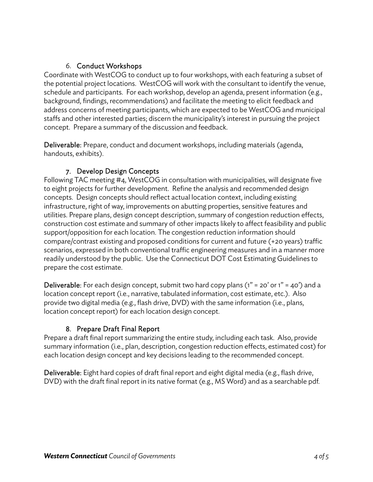## 6. Conduct Workshops

Coordinate with WestCOG to conduct up to four workshops, with each featuring a subset of the potential project locations. WestCOG will work with the consultant to identify the venue, schedule and participants. For each workshop, develop an agenda, present information (e.g., background, findings, recommendations) and facilitate the meeting to elicit feedback and address concerns of meeting participants, which are expected to be WestCOG and municipal staffs and other interested parties; discern the municipality's interest in pursuing the project concept. Prepare a summary of the discussion and feedback.

Deliverable: Prepare, conduct and document workshops, including materials (agenda, handouts, exhibits).

## 7. Develop Design Concepts

Following TAC meeting #4, WestCOG in consultation with municipalities, will designate five to eight projects for further development. Refine the analysis and recommended design concepts. Design concepts should reflect actual location context, including existing infrastructure, right of way, improvements on abutting properties, sensitive features and utilities. Prepare plans, design concept description, summary of congestion reduction effects, construction cost estimate and summary of other impacts likely to affect feasibility and public support/opposition for each location. The congestion reduction information should compare/contrast existing and proposed conditions for current and future (+20 years) traffic scenarios, expressed in both conventional traffic engineering measures and in a manner more readily understood by the public. Use the Connecticut DOT Cost Estimating Guidelines to prepare the cost estimate.

**Deliverable:** For each design concept, submit two hard copy plans  $(1" = 20'$  or  $1" = 40'$  and a location concept report (i.e., narrative, tabulated information, cost estimate, etc.). Also provide two digital media (e.g., flash drive, DVD) with the same information (i.e., plans, location concept report) for each location design concept.

## 8. Prepare Draft Final Report

Prepare a draft final report summarizing the entire study, including each task. Also, provide summary information (i.e., plan, description, congestion reduction effects, estimated cost) for each location design concept and key decisions leading to the recommended concept.

Deliverable: Eight hard copies of draft final report and eight digital media (e.g., flash drive, DVD) with the draft final report in its native format (e.g., MS Word) and as a searchable pdf.